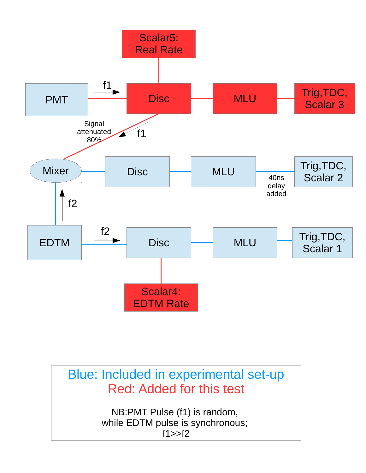

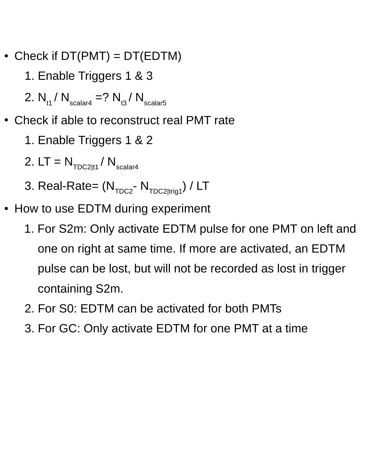- Check if  $DT(PMT) = DT(EDTM)$ 
	- 1. Enable Triggers 1 & 3
	- 2.  $N_{t1} / N_{\text{scalar4}} = ? N_{t3} / N_{\text{scalar5}}$
- Check if able to reconstruct real PMT rate
	- 1. Enable Triggers 1 & 2
	- 2.  $LT = N_{TDC2|t1} / N_{scalar4}$
	- 3. Real-Rate=  $(N_{TDC2} N_{TDC2|triq1}) / LT$
- How to use EDTM during experiment
	- 1. For S2m: Only activate EDTM pulse for one PMT on left and one on right at same time. If more are activated, an EDTM pulse can be lost, but will not be recorded as lost in trigger containing S2m.
	- 2. For S0: EDTM can be activated for both PMTs
	- 3. For GC: Only activate EDTM for one PMT at a time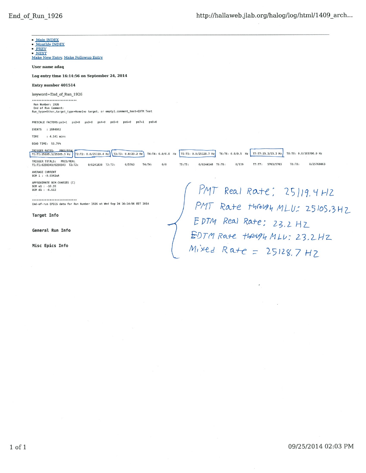$\bar{\mathbf{z}}$ 

| • Main INDEX<br>• Monthly INDEX<br>• PREV<br>· NEXT<br>Make New Entry, Make Followup Entry                                                                                                                             |
|------------------------------------------------------------------------------------------------------------------------------------------------------------------------------------------------------------------------|
| User name adaq                                                                                                                                                                                                         |
| Log entry time 16:14:56 on September 24, 2014                                                                                                                                                                          |
| Entry number 401514                                                                                                                                                                                                    |
| keyword=End of Run 1926                                                                                                                                                                                                |
| ***************************                                                                                                                                                                                            |
| Run Number: 1926<br>End of Run Comment:<br>Run type=Other, target type=Home(no target, or empty), comment_text=EDTM Test                                                                                               |
| PRESCALE FACTORS: ps1=1<br>$ps6=0$<br>$ps7=1$<br>$ps8=0$<br>$ps2=0$<br>$ps3=0$<br>$ps4=0$<br>$ps5=0$                                                                                                                   |
| : 2884802<br><b>EVENTS</b>                                                                                                                                                                                             |
| TIME<br>$: 4.141$ mins                                                                                                                                                                                                 |
| DEAD TIME: 53.79%                                                                                                                                                                                                      |
| TRIGGER RATES: PRES/REAL<br>T4:T4: 0.0/0.0 Hz<br>T5:T5: 0.0/25128.7 Hz<br>T8:T8: 0.0/103700.0 Hz<br>T3:T3: 0.0/23.2 Hz<br>T6:T6: 0.0/0.5 Hz<br>T7:T7:23.2/23.2 Hz<br>T2:T2: 0.0/25119.4 Hz<br>T1:T1:25105.3/25105.3 Hz |
| TRIGGER TOTALS:<br>PRES/REAL<br>0/25768063<br>5763/5763<br>T8: T8:<br>0/5763<br>$T4:T4$ :<br>0/0<br>TS:TS:<br>$0/6244148$ T6:T6:<br>0/119<br>T7:TT:<br>0/6241838 T3:T3:<br>T1:T1:6238343/6238343 T2:T2:                |
| AVERAGE CURRENT<br>BCM 1 : - 0.0342uA                                                                                                                                                                                  |
| APPROXIMATE BCM CHARGES (C)                                                                                                                                                                                            |
| BCM ul : -10.39<br>BCM d1 : -6.613                                                                                                                                                                                     |
| $T$ Real Rate; 25/19.4 HZ                                                                                                                                                                                              |
| ***************************<br>End-of-run EPICS data for Run Number 1926 at Wed Sep 24 16:14:56 EDT 2014<br>Rate HAROBY MLU: 2510S.3HZ                                                                                 |
| Target Info                                                                                                                                                                                                            |
| Real Rate: 23.2 HZ                                                                                                                                                                                                     |
| General Run Info                                                                                                                                                                                                       |
| EDTM Rate though MLU: 23.2HZ                                                                                                                                                                                           |
| Misc Epics Info                                                                                                                                                                                                        |
| $Mixed Rate = 25128.7 HZ$                                                                                                                                                                                              |
|                                                                                                                                                                                                                        |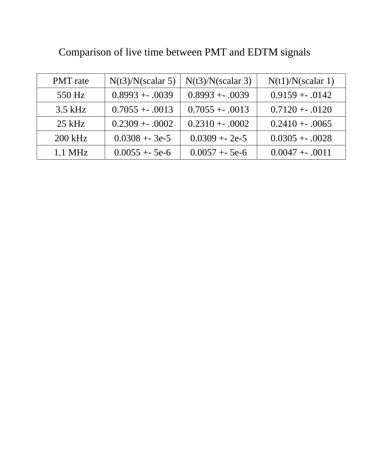| <b>PMT</b> rate | $N(t3)/N$ (scalar 5) | $N(t3)/N$ (scalar 3) | N(t1)/N(scalar 1) |
|-----------------|----------------------|----------------------|-------------------|
| 550 Hz          | $0.8993 + .0039$     | $0.8993 + .0039$     | $0.9159 + .0142$  |
| $3.5$ kHz       | $0.7055 + .0013$     | $0.7055 + .0013$     | $0.7120 + .0120$  |
| $25$ kHz        | $0.2309 + 0.0002$    | $0.2310 + .0002$     | $0.2410 + .0065$  |
| 200 kHz         | $0.0308 + 3e-5$      | $0.0309 + 2e-5$      | $0.0305 + .0028$  |
| $1.1$ MHz       | $0.0055 + 5e-6$      | $0.0057 + 5e-6$      | $0.0047 + .0011$  |

Comparison of live time between PMT and EDTM signals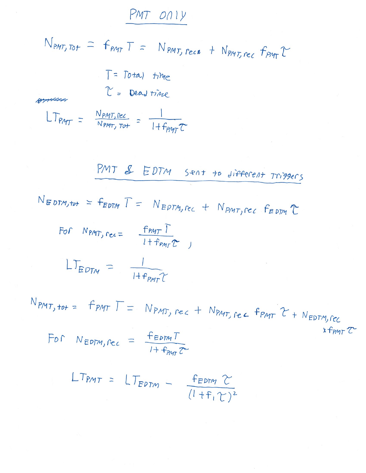## PMT ONly

 $N_{PMT, tot}$  =  $F_{PMT}T = N_{PMT, rec} + N_{PMT, rec} F_{PMT}T + N_{EDTM, fcc}$ 

For Nëprim, rec = 
$$
\frac{f_{EDM}T}{1 + f_{PMT}Z}
$$

$$
LT_{PMT} = LT_{EPTM} - \frac{F_{EDTM} \Upsilon}{(1 + F_1 \Upsilon)^2}
$$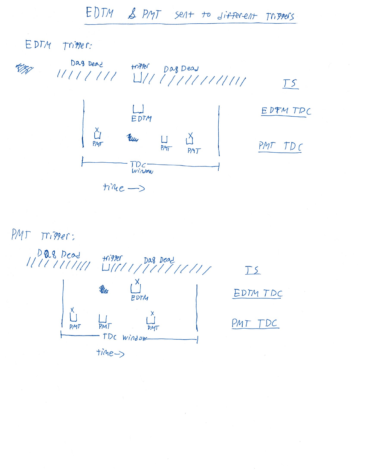EDTM & PMT sent to different Triggers

EDTM Trimer:

 $TS$ EDTM TPC EDTM <u> Mu</u> ů  $\Box$ PMT PMT PMT TDC TDC-<br>Window  $time-$ 

PMJ Trigger:

1111111111111111111111111111  $\begin{bmatrix} x \\ y \\ E & D \end{bmatrix}$  $\frac{x}{1}$  $PMI$ - TDC window  $time$ 

 $TS$ EDTM TDC

PMT TDC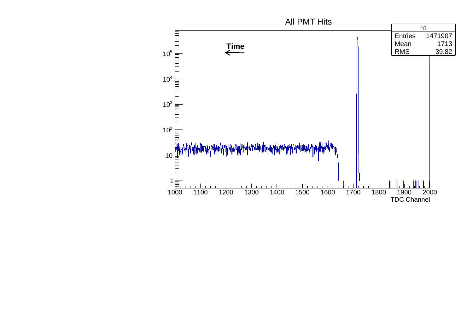## All PMT Hits